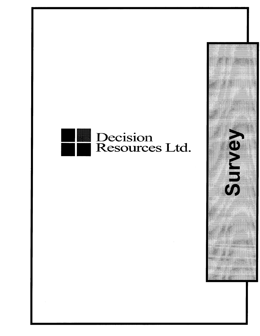## C151 Resources Ltd.

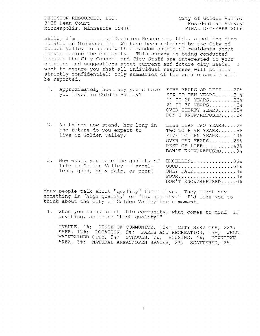DECISION RESOURCES, LTD. City of Golden Valley Minneapolis, Minnesota 55416

Residential Survey<br>FINAL DECEMBER 2006

Hello, I'm of Decision Resources, Ltd., a polling firm located in Minneapolis. We have been retained by the City of Golden Valley to speak with <sup>a</sup> random sample of residents about issues facing the community. This survey is being conducted because the City Council and City Staff are interested in your opinions and suggestions about current and future city needs. I want to assure you that all individual responses will be held strictly confidential; only summaries of the entire sample will be reported.

| 1. | Approximately how many years have<br>you lived in Golden Valley?                                        | FIVE YEARS OR LESS20%<br>SIX TO TEN YEARS21%<br>11 TO 20 YEARS22%<br>21 TO 30 YEARS12%<br>OVER THIRTY YEARS25%<br>DON'T KNOW/REFUSED0% |
|----|---------------------------------------------------------------------------------------------------------|----------------------------------------------------------------------------------------------------------------------------------------|
| 2. | As things now stand, how long in<br>the future do you expect to<br>live in Golden Valley?               | LESS THAN TWO YEARS2%<br>TWO TO FIVE YEARS5%<br>FIVE TO TEN YEARS10%<br>OVER TEN YEARS26%<br>REST OF LIFE48%<br>DON'T KNOW/REFUSED 9%  |
| 3. | How would you rate the quality of<br>life in Golden Valley -- excel-<br>lent, good, only fair, or poor? | EXCELLENT36%<br>$GOOD$ 61%<br>ONLY FAIR3%<br>POOR0%<br>DON'T KNOW/REFUSED0%                                                            |

Many people talk about "quality" these days. They might say iding people cain dood: quality these days. They might say<br>something is "high quality" or "low quality." I'd like you to think about the City of Golden Valley for a moment.

4 . When you think about this community, what comes to mind, if anything, as being "high quality?"

UNSURE, 4%; SENSE OF COMMUNITY, 18%; CITY SERVICES, 22%; SAFE, 12%; LOCATION, 9%; PARKS AND RECREATION, 13%; WELL-MAINTAINED CITY, 5%; SCHOOLS, 7%; HOUSING, 4%; DOWNTOWN AREA, 3%; NATURAL AREAS/OPEN SPACES, 2%; SCATTERED, 2%.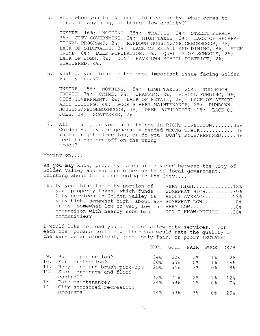5 . And, when you think about this community, what comes to mind, if anything, as being " low quality?"

UNSURE, 16%; NOTHING, 35%; TRAFFIC, 2%; STREET REPAIR, 3%; CITY GOVERNMENT, 2%; HIGH TAXES, 3%; LACK OF RECREA-TIONAL PROGRAMS, 2%; RUNDOWN HOUSING/NEIGHBORHOODS, 7%; LACK OF SIDEWALKS, 3%; LACK OF RETAIL AND DINING, 8%; HIGH CRIME, 8%; DEER POPULATION, 2%; QUALITY OF SCHOOLS, 2%; LACK OF JOBS, 2%; DON'T HAVE OWN SCHOOL DISTRICT, 2%; SCATTERED, 4%.

6 . What do you think is the most important issue facing Golden Valley today?

UNSURE, 15%; NOTHING, 15%; HIGH TAXES, 25%; TOO MUCH GROWTH, 7%; CRIME, 9%; TRAFFIC, 2%; SCHOOL FUNDING, 9%; CITY GOVERNMENT, 2%; LACK OF RETAIL, 2%; LACK OF AFFORD-ABLE HOUSING, 4%; POOR STREET MAINTENANCE, 2%; RUNDOWN HOUSING/NEIGHBORHOODS, 4%; DEER POPULATION, 2%; LACK OF JOBS, 2%; SCATTERED, 2%.

7. All in all, do you think things in RIGHT DIRECTION.......86% Golden Valley are generally headed WRONG TRACK. . . . . . . . . . . 12% in the right direction, or do you DON'T KNOW/REFUSED.....3% feel things are off on the wrong track?

Moving on. . . .

As you may know, property taxes are divided between the City of Golden Valley and various other units of local government. Thinking about the amount going to the City....

8. Do you think the city portion of VERY HIGH.............18% your property taxes, which funds SOMEWHAT HIGH..........39% your property taxes, which funds SOMEWHAT HIGH.........39%<br>City services in Golden Valley is ABOUT AVERAGE.........23% very high, somewhat high, about av- SOMEWHAT LOW...........0% erage, somewhat low or very low in VERY LOW.................0%<br>comparison with nearby suburban DON'T KNOW/REFUSED....20% comparison with nearby suburban communities?

I would like to read you a list of a few city services. For each one, please tell me whether you would rate the quality of the service as excellent, good, only fair, or poor? (ROTATE)

|                  |                                                          | EXCL       | GOOD.      | FAIR                 | POOR                   | DK/R            |
|------------------|----------------------------------------------------------|------------|------------|----------------------|------------------------|-----------------|
| 9.<br>10.<br>11. | Police protection?<br>Fire protection?                   | 34%<br>30% | 60%<br>65% | 3%<br>0 <sub>3</sub> | $1\,$<br>$1$ $\approx$ | $2\,$<br>5%     |
| 12.              | Recycling and brush pick-up?<br>Storm drainage and flood | 25%        | 64%        | 3%                   | $0*$                   | 8%              |
|                  | control?                                                 | 138        | 71%        | 2 <sub>8</sub>       | 28                     | 12 <sub>8</sub> |
| 13.<br>14.       | Park maintenance?<br>City-sponsored recreation           | 24%        | 69%        | $1\,$                | 0 <sub>8</sub>         | $7$ %           |
|                  | programs?                                                | $14$ $%$   | 59%        | 38                   | 0 유                    | 2.5%            |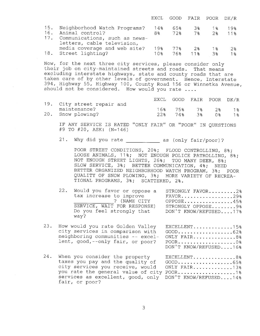|     |                                                                                                 | EXCL        |            | GOOD FAIR POOR DK/R |             |                        |
|-----|-------------------------------------------------------------------------------------------------|-------------|------------|---------------------|-------------|------------------------|
| 16. | 15. Neighborhood Watch Programs?<br>Animal control?                                             | 14%<br>8% - | 65%<br>72% | - 38                | 18<br>7% 2% | 19%<br>11 <sub>8</sub> |
|     | 17. Communications, such as news-<br>letters, cable television,<br>media coverage and web site? | 19%         | 77%        | - 2%                | 18          | 2.8                    |
|     | 18. Street lighting?                                                                            | 1 0 옹       |            | 76% 11%             | $-3$        | $1$ $\sim$             |

Now, for the next three city services, please consider only their job on city-maintained streets and roads. That means their job on city-maintained streets and roads. excluding interstate highways, state and county roads that are taken care of by other levels of government. Hence, Interstate 394, Highway 55, Highway 100, County Road 156 or Winnetka Avenue, should not be considered. How would you rate ....

|                            |     |     | EXCL GOOD FAIR POOR DK/R |    |               |
|----------------------------|-----|-----|--------------------------|----|---------------|
| 19. City street repair and |     |     |                          |    |               |
| maintenance?               |     |     | 16% 75% 7%               | 28 | $1$ $\approx$ |
| 20. Snow plowing?          | 22% | 74왕 | 3%                       | ∩° | $1$ $\approx$ |

IF ANY SERVICE IS RATED "ONLY FAIR" OR "POOR" IN QUESTIONS  $#9$  TO  $#20$ , ASK:  $(N=146)$ 

21. Why did you rate \_\_\_\_\_\_\_\_\_\_\_\_\_ as (only fair/ poor) ?

POOR STREET CONDITIONS, 20%; FLOOD CONTROLLING, 8%; LOOSE ANIMALS, 11%; NOT ENOUGH POLICE PATROLLING, 8%; NOT ENOUGH STREET LIGHTS, 26%; TOO MANY DEER, 8%; SLOW SERVICE, 3%; BETTER COMMUNICATION, 4%; NEED BETTER ORGANIZED NEIGHBORHOOD WATCH PROGRAM, 3%; POOR QUALITY OF SNOW PLOWING, 3%; MORE VARIETY OF RECREA-TIONAL PROGRAMS, 3%; SCATTERED, 2% .

|  | 22. | Would you favor or oppose a<br>tax increase to improve<br>? (NAME CITY<br>SERVICE, WAIT FOR RESPONSE)<br>Do you feel strongly that<br>way? | STRONGLY FAVOR2%<br>$FAVOR$ 29%<br>OPPOSE45%<br>STRONGLY OPPOSE9%<br>DON'T KNOW/REFUSED17% |
|--|-----|--------------------------------------------------------------------------------------------------------------------------------------------|--------------------------------------------------------------------------------------------|
|--|-----|--------------------------------------------------------------------------------------------------------------------------------------------|--------------------------------------------------------------------------------------------|

| 23. | How would you rate Golden Valley<br>city services in comparison with GOOD62%<br>neighboring communities -- excel- ONLY FAIR8%<br>lent, good,--only fair, or poor? POOR0% | EXCELLENT15%          |
|-----|--------------------------------------------------------------------------------------------------------------------------------------------------------------------------|-----------------------|
|     |                                                                                                                                                                          | DON'T KNOW/REFUSED16% |

24. When you consider the property EXCELLENT...............8%<br>taxes you pay and the quality of GOOD...................65% taxes you pay and the quality of GOOD. . . . . . . . . . . . . . . . . . <sup>650</sup> cance you pay and the quarrity of<br>city services you receive, would you rate the general value of city POOR.....................1% services as excellent, good, only DON'T KNOW/REFUSED....14% fair, or poor?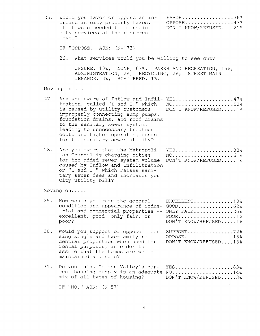25. Would you favor or oppose an in-<br>crease in city property taxes, OPPOSE................43% example and the complete of the server of the server of the crease in city property taxes, oppose..................43%<br>if it were needed to maintain DON'T KNOW/REFUSED....21% if it were needed to maintain<br>city services at their current level? IF "OPPOSE,"  $ASK: (N=173)$ 

26. What services would you be willing to see cut?

UNSURE, 10%; NONE, 67%; PARKS AND RECREATION, 15%; ADMINISTRATION, 2%; RECYCLING, 2%; STREET MAIN-TENANCE, 3%; SCATTERED, 1%.

Moving on. . . .

| 27. Are you aware of Inflow and Infil- YES47%<br>tration, called "I and I," which<br>is caused by utility customers        DON'T KNOW/REFUSED1%<br>improperly connecting sump pumps,<br>foundation drains, and roof drains<br>to the sanitary sewer system,<br>leading to unnecessary treatment<br>costs and higher operating costs<br>for the sanitary sewer utility? | $NO$ 52% |
|------------------------------------------------------------------------------------------------------------------------------------------------------------------------------------------------------------------------------------------------------------------------------------------------------------------------------------------------------------------------|----------|
|                                                                                                                                                                                                                                                                                                                                                                        |          |

28. Are you aware that the Metropoli- YES...................38% tan Council is charging cities MO............................61%<br>for the added sewer system volume DON'T KNOW/REFUSED.....1% for the added sewer system volume caused by Inflow and Infilitration or "I and I," which raises sanitary sewer fees and increases your City utility bill?

Moving on. . . . .

| 29.<br>How would you rate the general EXCELLENT10%<br>condition and appearance of indus- GOOD62%<br>trial and commercial properties -- ONLY FAIR26%<br>poor? | DON'T KNOW/REFUSED1% |
|--------------------------------------------------------------------------------------------------------------------------------------------------------------|----------------------|
|--------------------------------------------------------------------------------------------------------------------------------------------------------------|----------------------|

30. Would you support or oppose licen- SUPPORT................72% sing single and two-family resi- OPPOSE................15% dential properties when used for DON'T KNOW/REFUSED....13% rental purposes, in order to assure that the homes are wellmaintained and safe?

|  |  | 31. Do you think Golden Valley's cur- YES83%      |  |
|--|--|---------------------------------------------------|--|
|  |  | rent housing supply is an adequate NO14%          |  |
|  |  | mix of all types of housing? DON'T KNOW/REFUSED3% |  |

IF "NO,"  $ASK: (N=57)$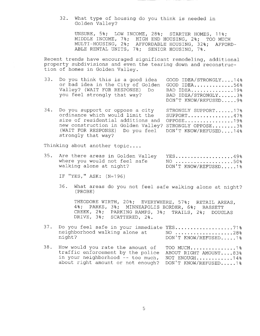32 . What type of housing do you think is needed in Golden Valley?

UNSURE, 5%; LOW INCOME, 28%; STARTER HOMES, 11%; MIDDLE INCOME, 7%; HIGH END HOUSING, 2%; TOO MUCH MULTI- HOUSING, 2%; AFFORDABLE HOUSING, 32%; AFFORD-ABLE RENTAL UNITS, 7%; SENIOR HOUSING, 7%.

Recent trends have encouraged significant remodeling, additional property subdivisions and even the tearing down and reconstruction of homes in Golden Valley.

| 33. | Do you think this is a good idea GOOD IDEA/STRONGLY14%<br>or bad idea in the City of Golden GOOD IDEA56%<br>Valley? (WAIT FOR RESPONSE) Do | BAD IDEA19%           |
|-----|--------------------------------------------------------------------------------------------------------------------------------------------|-----------------------|
|     | you feel strongly that way?                                                                                                                | BAD IDEA/STRONGLY3%   |
|     |                                                                                                                                            | DON'T KNOW/REFUSED 9% |

34. Do you support or oppose a city STRONGLY SUPPORT......17%<br>SUPPORT..............47% ordinance which would limit the SUPPORT..............47%<br>size of residential additions and OPPOSE................19% size of residential additions and new construction in Golden Valley? STRONGLY OPPOSE........3% (WAIT FOR RESPONSE) Do you feel DON'T KNOW/REFUSED.... 14% strongly that way?

Thinking about another topic....

| 35. Are there areas in Golden Valley | $\text{YES}\dots\dots\dots\dots\dots\dots\dots49\%$ |
|--------------------------------------|-----------------------------------------------------|
| where you would not feel safe        | $NO$ 50%                                            |
| walking alone at night?              | DON'T KNOW/REFUSED1%                                |

IF "YES," ASK: (N=196)

36 . What areas do you not feel safe walking alone at night? PROBE)

THEODORE WIRTH, 20%; EVERYWHERE, 57%; RETAIL AREAS, 4%; PARKS, 3%; MINNEAPOLIS BORDER, 6%; BASSETT CREEK, 2%; PARKING RAMPS, 3%; TRAILS, 2%; DOUGLAS DRIVE, 3%; SCATTERED, 2%.

- 37. Do you feel safe in your immediate YES.....................71% neighborhood walking alone at NO . . . . . . . . . . . . . . . . . . . 28% DON'T KNOW/REFUSED.....1%
- 38. How would you rate the amount of TOO MUCH.................1%<br>traffic enforcement by the police ABOUT RIGHT AMOUNT....83% traffic enforcement by the police ABOUT RIGHT AMOUNT....83%<br>in your neighborhood -- too much, NOT ENOUGH...........14% in your neighborhood -- too much, NOT ENOUGH...........14%<br>about right amount or not enough? DON'T KNOW/REFUSED.....1% about right amount or not enough?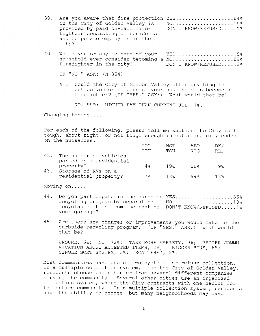- 39. Are you aware that fire protection YES.....................84%<br>in the City of Golden Valley is NO.....................15% in the City of Golden Valley is NO.....................15%<br>provided by paid on-call fire- DON'T KNOW/REFUSED.....1% provided by paid on-call firefighters consisting of residents and corporate employees in the city?
- 40. Would you or any members of your YES....................8% household ever consider becoming a NO......................89%<br>firefighter in the city? DON'T KNOW/REFUSED.....3% firefighter in the city?

IF " NO, " ASK: ( N= 354)

41 . Could the City of Golden Valley offer anything to entice you or members of your household to become <sup>a</sup> firefighter? (IF "YES," ASK:) What would that be?

NO, 99%; HIGHER PAY THAN CURRENT JOB, 1%.

Changing topics....

For each of the following, please tell me whether the City is too tough, about right, or not tough enough in enforcing city codes on the nuisances .

|     |                         | TOO | NOT    | ABO        | DK/        |
|-----|-------------------------|-----|--------|------------|------------|
|     |                         | TOU | TOU    | <b>RTG</b> | <b>REF</b> |
| 42. | The number of vehicles  |     |        |            |            |
|     | parked on a residential |     |        |            |            |
|     | property?               | 4옹  | 19%    | 68%        | 98         |
| 43. | Storage of RVs on a     |     |        |            |            |
|     | residential property?   | 7 옹 | $12$ * | 69%        | $12$ .     |

Moving on. . . . .

- 44. Do you participate in the curbside YES....................86% recycling program by separating NO. . . . . . . . . . . . . . . . . . . . <sup>130</sup> recyclable items from the rest of DON'T KNOW/REFUSED.....1% your garbage?
- 45 . Are there any changes or improvements you would make to the curbside recycling program? (IF " YES, " ASK: ) What would that be?

UNSURE, 6%; NO, 72%; TAKE MORE VARIETY, 9%; BETTER COMMU-NICATION ABOUT ACCEPTED ITEMS, 2%; BIGGER BINS, 6%; SINGLE SORT SYSTEM, 3%; SCATTERED, 2%.

Most communities have one of two systems for refuse collection. In a multiple collection system, like the City of Golden Valley, residents choose their hauler from several different companies serving the community. Several other cities use an organized collection system, where the City contracts with one hauler for the entire community. In <sup>a</sup> multiple collection system, residents have the ability to choose, but many neighborhoods may have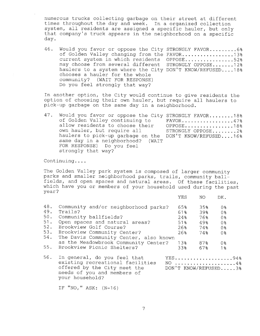numerous trucks collecting garbage on their street at different times throughout the day and week. In <sup>a</sup> organized collection system, all residents are assigned <sup>a</sup> specific hauler, but only that company's truck appears in the neighborhood on a specific day.

46. Would you favor or oppose the City STRONGLY FAVOR......... 6% of Golden Valley changing from the FAVOR..................13% current system in which residents OPPOSE................52% may choose from several different STRONGLY OPPOSE.......12% haulers to a system where the City DON'T KNOW/REFUSED....18% chooses <sup>a</sup> hauler for the whole community? (WAIT FOR RESPONSE) Do you feel strongly that way?

In another option, the City would continue to give residents the option of choosing their own hauler, but require all haulers to pick- up garbage on the same day in <sup>a</sup> neighborhood.

| 47. Would you favor or oppose the City STRONGLY FAVOR18%<br>of Golden Valley continuing to<br>allow residents to choose their OPPOSE18%<br>own hauler, but require all<br>haulers to pick-up garbage on the DON'T KNOW/REFUSED16%<br>same day in a neighborhood? (WAIT<br>FOR RESPONSE) Do you feel<br>strongly that way? | $FAVOR$ 47%<br>STRONGLY OPPOSE2% |
|---------------------------------------------------------------------------------------------------------------------------------------------------------------------------------------------------------------------------------------------------------------------------------------------------------------------------|----------------------------------|
|---------------------------------------------------------------------------------------------------------------------------------------------------------------------------------------------------------------------------------------------------------------------------------------------------------------------------|----------------------------------|

Continuing. . . .

The Golden Valley park system is composed of larger community parks and smaller neighborhood parks, trails, community ballfields, and open spaces and natural areas. Of these facilities, which have you or members of your household used during the past year? YES NO DK.

|     |                                                                  | 11 L J | $1$ V $\sqrt{ }$ | 77 F           |  |
|-----|------------------------------------------------------------------|--------|------------------|----------------|--|
| 48. | Community and/or neighborhood parks?                             | 65%    | 35%              | 0 <sub>8</sub> |  |
| 49. | Trails?                                                          | 618    | 39%              | 0%             |  |
| 50. | Community ballfields?                                            | 24%    | 76%              | 0 <sub>8</sub> |  |
| 51. | Open spaces and natural areas?                                   | 51%    | 49%              | 0 <sub>8</sub> |  |
| 52. | Brookview Golf Course?                                           | 26%    | 74%              | 0%             |  |
| 53. | Brookview Community Center?                                      | 26%    | 74%              | 0 <sub>8</sub> |  |
| 54. | The Davis Community Center, also known                           |        |                  |                |  |
|     | as the Meadowbrook Community Center?                             | 13%    | 87%              | 08             |  |
| 55. | Brookview Picnic Shelters?                                       | 33%    | 67%              | 1 <sub>8</sub> |  |
| 56. | In general, do you feel that<br>existing recreational facilities |        | YES94%<br>NO 4%  |                |  |
|     |                                                                  |        |                  |                |  |

offered by the City meet the DON'T KNOW/REFUSED.....3% needs of you and members of your household?

IF "NO,"  $ASK: (N=16)$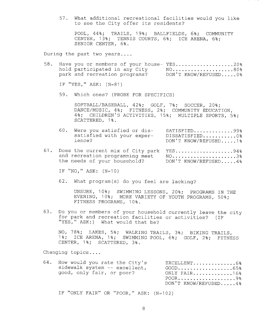57 . What additional recreational facilities would you like to see the City offer its residents?

POOL, 44%; TRAILS, 19%; BALLFIELDS, 6%; COMMUNITY CENTER, 13%; TENNIS COURTS, 6%; ICE ARENA, 6%; SENIOR CENTER, 6% .

During the past two years....

58. Have you or members of your house- YES...................20% hold participated in any City NO. . . . . . . . . . . . . . . . . . . . <sup>800</sup> park and recreation programs? DON'T KNOW/REFUSED.....00

IF "YES," ASK: (N=81)

59 . Which ones? (PROBE FOR SPECIFICS)

SOFTBALL/BASEBALL, 42%; GOLF, 7%; SOCCER, 20%; DANCE/MUSIC, 4%; FITNESS, 2%; COMMUNITY EDUCATION, 4%; CHILDREN'S ACTIVITIES, 15%; MULTIPLE SPORTS, 5%; SCATTERED, 1%.

- 60. Were you satisfied or dis-<br>SATISFIED.............99% satisfied with your exper-<br>ience?<br>DON'T KNOW/REFUSED 1% DON'T KNOW/REFUSED.....1%
- 61. Does the current mix of City park YES....................94% and recreation programming meet  $N0$ ........................3% the needs of your household? DON'T KNOW/REFUSED.....4%

IF "NO," ASK:  $(N=10)$ 

62. What program(s) do you feel are lacking?

UNSURE, 10%; SWIMMING LESSONS, 20%; PROGRAMS IN THE EVENING, 10%; MORE VARIETY OF YOUTH PROGRAMS, 50%; FITNESS PROGRAMS, 10% .

63. Do you or members of your household currently leave the city for park and recreation facilities or activities? (IF "YES," ASK:) What would that be?

NO, 78%; LAKES, 5%; WALKING TRAILS, 3%; BIKING TRAILS, 1%; ICE ARENA, 1%; SWIMMING POOL, 6%; GOLF, 2%; FITNESS CENTER, 1%; SCATTERED, 3%.

Changing topics . . . .

| 64. | How would you rate the City's<br>sidewalk system -- excellent,<br>good, only fair, or poor? | EXCELLENT6%<br>$GOOD$ 65%<br>ONLY FAIR16%<br>DON'T KNOW/REFUSED4% |
|-----|---------------------------------------------------------------------------------------------|-------------------------------------------------------------------|
|     |                                                                                             |                                                                   |

IF "ONLY FAIR" OR "POOR," ASK: (N=102)

8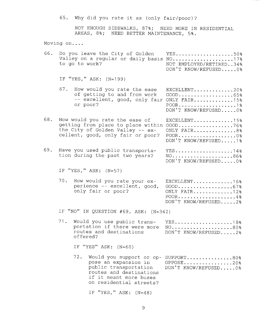65. Why did you rate it as (only fair/poor)?

NOT ENOUGH SIDEWALKS, 87%; NEED MORE IN RESIDENTIAL AREAS, 8%; NEED BETTER MAINTENANCE, 5%.

Moving on. . . .

|  | to go to work? |  |  | 66. Do you leave the City of Golden YES50%<br>Valley on a regular or daily basis NO17%<br>NOT EMPLOYED/RETIRED34%<br>DON'T KNOW/REFUSED0% |  |
|--|----------------|--|--|-------------------------------------------------------------------------------------------------------------------------------------------|--|
|  |                |  |  |                                                                                                                                           |  |

IF " YES, " ASK: ( N= 199)

|          | 67. How would you rate the ease EXCELLENT20% |  |
|----------|----------------------------------------------|--|
|          | of getting to and from work GOOD65%          |  |
|          | -- excellent, good, only fair ONLY FAIR15%   |  |
| or poor? |                                              |  |
|          | DON'T KNOW/REFUSED0%                         |  |

- 68. How would you rate the ease of EXCELLENT.............15% getting from place to place within GOOD....................76%<br>the City of Golden Valley -- ex- ONLY FAIR...............8% the City of Golden Valley -- ex- ONLY FAIR...............8%<br>cellent, good, only fair or poor? POOR.....................0% cellent, good, only fair or poor? DON' T KNOW/ REFUSED. . . . . 1 %
- 69. Have you used public transporta-<br>tion during the past two years? NO.....................86% tion during the past two years? DON'T KNOW/REFUSED.....0%

IF "YES," ASK: (N=57)

70. How would you rate your ex- EXCELLENT.............16% perience -- excellent, good, GOOD.....................67%<br>only fair or poor? ONLY FAIR..............12% ONLY FAIR.  $\dots \dots \dots \dots 128$ POOR...................4% DON'T KNOW/REFUSED.....2%

IF "NO" IN QUESTION  $#69$ , ASK:  $(N=342)$ 

| 71. Would you use public trans- YES18%<br>portation if there were more NO80%<br>routes and destinations<br>offered? | DON'T KNOW/REFUSED2% |
|---------------------------------------------------------------------------------------------------------------------|----------------------|
|                                                                                                                     |                      |

IF "YES" ASK:  $(N=60)$ 

72 . Would you support or op- SUPPORT. . . . . . . . . . . . . . . 800 pose an expansion in OPPOSE.................20%<br>public transportation DON'T KNOW/REFUSED.....0% routes and destinations if it meant more buses if it meant more buses<br>on residential streets?

IF "YES," ASK:  $(N=48)$ 

pon't know/ REFUSED. .... 0%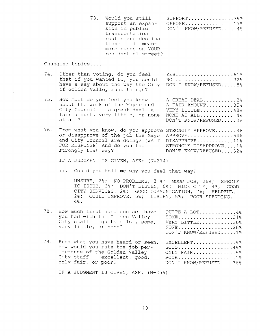73. Would you still SUPPORT................79%<br>support an expan- OPPOSE................17% support an expan- OPPOSE................17%<br>sion in public DON'T KNOW/REFUSED.....4% DON'T KNOW/REFUSED.....4% transportation routes and destina-tions if it meant more buses on YOUR residential street?

Changing topics . . . .

- 74. Other than voting, do you feel YES...........................61%<br>that if you wanted to, you could NO ....................32% that if you wanted to, you could have a say about the way the City DON'T KNOW/REFUSED.....8% of Golden Valley runs things?
- 75. How much do you feel you know A GREAT DEAL...........2%<br>about the work of the Mayor and A FAIR AMOUNT.........35% about the work of the Mayor and City Council -- <sup>a</sup> great deal, <sup>a</sup> VERY LITTLE. . . . . . . . . . . 48% fair amount, very little, or none NONE AT ALL. . . . . . . . . . . 14% fair amount, very little, or none NONE AT ALL...........14%<br>at all? DON'T KNOW/REFUSED.....2%
- 76. From what you know, do you approve STRONGLY APPROVE.......3% or disapprove of the job the Mayor APPROVE................54% and City Council are doing? (WAIT DISAPPROVE............11%<br>FOR RESPONSE) And do you feel STRONGLY DISAPPROVE....1% FOR RESPONSE) And do you feel<br>strongly that way? DON'T KNOW/REFUSED....32%

IF A JUDGMENT IS GIVEN, ASK: (N=274)

77. Could you tell me why you feel that way?

UNSURE, 2%; NO PROBLEMS, 31%; GOOD JOB, 26%; SPECIF-IC ISSUE, 6%; DON'T LISTEN, 6%; NICE CITY, 4%; GOOD CITY SERVICES, 2%; GOOD COMMUNICATION, 7%; HELPFUL 2%; COULD IMPROVE, 5%; LISTEN, 5%; POOR SPENDING.  $4\%$ .

| 78. | How much first hand contact have<br>you had with the Golden Valley<br>City staff -- quite a lot, some,<br>very little, or none?                                | QUITE A LOT4%<br>$SOME \ldots \ldots \ldots \ldots \ldots \ldots 318$<br>VERY LITTLE36%<br>NONE28%<br>DON'T KNOW/REFUSED1% |
|-----|----------------------------------------------------------------------------------------------------------------------------------------------------------------|----------------------------------------------------------------------------------------------------------------------------|
| 79. | From what you have heard or seen,<br>how would you rate the job per-<br>formance of the Golden Valley<br>City staff -- excellent, good,<br>only fair, or poor? | EXCELLENT9%<br>$GOOD$ 49%<br>ONLY FAIR5%<br>DON'T KNOW/REFUSED36%                                                          |

IF <sup>A</sup> JUDGMENT IS GIVEN, ASK: ( N= 256)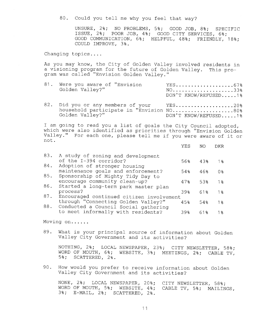80. Could you tell me why you feel that way?

UNSURE, 2%; NO PROBLEMS, 5%; GOOD JOB, 8%; SPECIFIC ISSUE, 2%; POOR JOB, 4%; GOOD CITY SERVICES, 6%; GOOD COMMUNICATION, 6%; HELPFUL, 48%; FRIENDLY, 18%; COULD IMPROVE, 3% .

Changing topics . . . .

As you may know, the City of Golden Valley involved residents in <sup>a</sup> visioning program for the future of Golden Valley. This program was called "Envision Golden Valley. "

| 81. Were you aware of "Envision<br>Golden Valley?"                                                       | $YES \ldots \ldots \ldots \ldots \ldots \ldots \ldots 678$<br>$NO$ 33%<br>DON'T KNOW/REFUSED1% |
|----------------------------------------------------------------------------------------------------------|------------------------------------------------------------------------------------------------|
| 82. Did you or any members of your YES20%<br>household participate in "Envision NO80%<br>Golden Valley?" | DON'T KNOW/REFUSED1%                                                                           |

I am going to read you <sup>a</sup> list of goals the City Council adopted, which were also identified as priorities through "Envision Golden Valley. " For each one, please tell me if you were aware of it or not .

| $1\%$          |
|----------------|
|                |
| 0 <sub>3</sub> |
|                |
| 1 <sub>8</sub> |
|                |
| 1 <sub>8</sub> |
|                |
| 1 움            |
|                |
| 1 옹            |
|                |

Moving on. . . . . .

89. What is your principal source of information about Golden Valley City Government and its activities?

NOTHING, 2%; LOCAL NEWSPAPER, 23%; CITY NEWSLETTER, 58%; WORD OF MOUTH, 6%; WEBSITE, 3%; MEETINGS, 2%; CABLE TV, 5%; SCATTERED, 2%.

90 . How would you prefer to receive information about Golden Valley City Government and its activities?

NONE, 2%; LOCAL NEWSPAPER, 20%; CITY NEWSLETTER, 58%; WORD OF MOUTH, 5%; WEBSITE, 4%; CABLE TV, 5%; MAILINGS, 3%; E- MAIL, 2%; SCATTERED, 2% .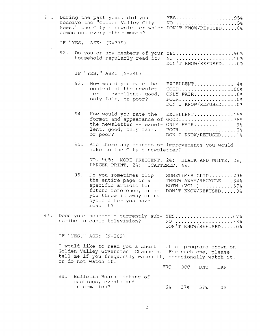| 91. |     | During the past year, did you<br>receive the "Golden Valley City<br>News," the City's newsletter which DON'T KNOW/REFUSED 0%<br>comes out every other month?                                               |     |         |     | YES95%<br>NO 5%                                                                         |  |
|-----|-----|------------------------------------------------------------------------------------------------------------------------------------------------------------------------------------------------------------|-----|---------|-----|-----------------------------------------------------------------------------------------|--|
|     |     | IF "YES, " ASK: (N=379)                                                                                                                                                                                    |     |         |     |                                                                                         |  |
|     | 92. | Do you or any members of your YES90%<br>household regularly read it?                                                                                                                                       |     |         |     | NO 10%<br>DON'T KNOW/REFUSED0%                                                          |  |
|     |     | IF "YES, " ASK: (N=340)                                                                                                                                                                                    |     |         |     |                                                                                         |  |
|     | 93. | How would you rate the<br>content of the newslet-<br>ter -- excellent, good,<br>only fair, or poor?                                                                                                        |     |         |     | EXCELLENT14%<br>$GOOD$ 80%<br>ONLY FAIR6%<br>$POOR$ 0%<br>DON'T KNOW/REFUSED0%          |  |
|     | 94. | How would you rate the<br>format and appearance of GOOD76%<br>the newsletter -- excel- ONLY FAIR9%<br>lent, good, only fair,<br>or poor?                                                                   |     |         |     | EXCELLENT15%<br>POOR0%<br>DON'T KNOW/REFUSED1%                                          |  |
|     | 95. | Are there any changes or improvements you would<br>make to the City's newsletter?                                                                                                                          |     |         |     |                                                                                         |  |
|     |     | NO, 90%; MORE FREQUENT, 2%; BLACK AND WHITE, 2%;<br>LARGER PRINT, 2%; SCATTERED, 4%.                                                                                                                       |     |         |     |                                                                                         |  |
|     | 96. | Do you sometimes clip<br>the entire page or a<br>specific article for<br>future reference, or do<br>you throw it away or re-<br>cycle after you have<br>read it?                                           |     |         |     | SOMETIMES CLIP29%<br>THROW AWAY/RECYCLE34%<br>BOTH $(VOL.)$ 37%<br>DON'T KNOW/REFUSED0% |  |
| 97. |     | Does your household currently sub-YES67%<br>scribe to cable television?                                                                                                                                    |     |         |     | NO 33%<br>DON'T KNOW/REFUSED0%                                                          |  |
|     |     | IF "YES," ASK: (N=269)                                                                                                                                                                                     |     |         |     |                                                                                         |  |
|     |     | I would like to read you a short list of programs shown on<br>Golden Valley Government Channels. For each one, please<br>tell me if you frequently watch it, occasionally watch it,<br>or do not watch it. |     |         |     |                                                                                         |  |
|     |     |                                                                                                                                                                                                            | FRQ | OCC     | DNT | DKR                                                                                     |  |
|     | 98. | Bulletin Board listing of<br>meetings, events and<br>information?                                                                                                                                          | 6%  | 37% 57% |     | 0 <sub>8</sub>                                                                          |  |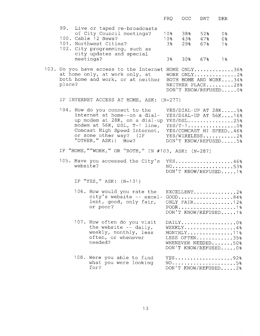|        |          |                                                                                                                                                                                                                                                                      | <b>FRQ</b>                               | OCC               | <b>DNT</b>        | <b>DKR</b>                                                                                          |  |
|--------|----------|----------------------------------------------------------------------------------------------------------------------------------------------------------------------------------------------------------------------------------------------------------------------|------------------------------------------|-------------------|-------------------|-----------------------------------------------------------------------------------------------------|--|
|        |          | 99. Live or taped re-broadcasts<br>of City Council meetings?<br>100. Cable 12 News?<br>101. Northwest Cities?<br>102. City programming, such as                                                                                                                      | 10 <sub>8</sub><br>10 <sub>8</sub><br>3% | 38%<br>43%<br>29% | 52%<br>47%<br>67% | 0 <sub>8</sub><br>0 <sub>8</sub><br>$1\%$                                                           |  |
|        |          | city updates and special<br>meetings?                                                                                                                                                                                                                                | 3%                                       |                   | $30\%$ 67% 1%     |                                                                                                     |  |
| place? |          | 103. Do you have access to the Internet HOME ONLY36%<br>at home only, at work only, at<br>both home and work, or at neither                                                                                                                                          |                                          |                   |                   | WORK ONLY2%<br>BOTH HOME AND WORK34%<br>NEITHER PLACE28%<br>DON'T KNOW/REFUSED0%                    |  |
|        |          | IF INTERNET ACCESS AT HOME, ASK: (N=277)                                                                                                                                                                                                                             |                                          |                   |                   |                                                                                                     |  |
|        |          | 104. How do you connect to the<br>internet at home--on a dial-<br>up modem at 28K, on a dial-up YES/DSL25%<br>modem at 56K, DSL, T-1 line,<br>Comcast High Speed Internet, YES/COMCAST HI SPEED46%<br>or some other way? (IF YES/WIRELESS2%<br>"OTHER, " ASK: ) How? |                                          |                   |                   | YES/DIAL-UP AT 28K5%<br>YES/DIAL-UP AT 56K16%<br>$YES/T-1$ 0%<br>DON'T KNOW/REFUSED5%               |  |
|        |          | IF "HOME, ""WORK, " OR "BOTH, " IN #103, ASK: (N=287)                                                                                                                                                                                                                |                                          |                   |                   |                                                                                                     |  |
|        | website? | 105. Have you accessed the City's                                                                                                                                                                                                                                    |                                          |                   |                   | YES46%<br>$NO.$ 53%<br>DON'T KNOW/REFUSED1%                                                         |  |
|        |          | IF "YES," ASK: $(N=131)$                                                                                                                                                                                                                                             |                                          |                   |                   |                                                                                                     |  |
|        |          | 106. How would you rate the EXCELLENT2%<br>city's website -- excel- GOOD84%<br>lent, good, only fair,<br>or poor?                                                                                                                                                    |                                          |                   |                   | ONLY FAIR12%<br>DON'T KNOW/REFUSED1%                                                                |  |
|        |          | 107. How often do you visit<br>the website $-$ daily,<br>weekly, monthly, less<br>often, or whenever<br>needed?                                                                                                                                                      |                                          |                   |                   | $DAILY$ 0%<br>WEEKLY4%<br>MONTHLY11%<br>LESS OFTEN35%<br>WHENEVER NEEDED50%<br>DON'T KNOW/REFUSED0% |  |
|        |          | 108. Were you able to find<br>what you were looking<br>for?                                                                                                                                                                                                          |                                          |                   |                   | $YES$ 92%<br>NO5%<br>DON'T KNOW/REFUSED2%                                                           |  |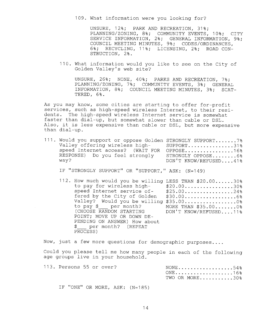109. What information were you looking for?

UNSURE, 12%; PARK AND RECREATION, 31%; PLANNING/ZONING, 8%; COMMUNITY EVENTS, 10%; CITY SERVICE INFORMATION, 2%; GENERAL INFORMATION, 9% COUNCIL MEETING MINUTES, 9%; CODES/ORDINANCES 6%; RECYCLING, 11%; LICENSING, 2%; ROAD CON-STRUCTION, 2% .

110 . What information would you like to see on the City of Golden Valley's web site?

UNSURE, 26%; NONE, 40%; PARKS AND RECREATION, 7%; PLANNING/ZONING, 7%; COMMUNITY EVENTS, 3%; GENERAL INFORMATION, 8%; COUNCIL MEETING MINUTES, 3%; SCAT-TERED, 6%.

As you may know, some cities are starting to offer for-profit services, such as high-speed wireless Internet, to their residents. The high-speed wireless Internet service is somewhat faster than dial-up, but somewhat slower than cable or DSL. Also, it is less expensive than cable or DSL, but more expensive than dial- up.

| 111. Would you support or oppose Golden STRONGLY SUPPORT 7% |                       |
|-------------------------------------------------------------|-----------------------|
| Valley offering wireless high-<br>SUPPORT31%                |                       |
| speed Internet access? (WAIT FOR OPPOSE16%                  |                       |
| RESPONSE) Do you feel strongly                              | STRONGLY OPPOSE6%     |
| wav?                                                        | DON'T KNOW/REFUSED41% |

IF "STRONGLY SUPPORT" OR "SUPPORT," ASK: (N=149)

112. How much would you be willing LESS THAN \$20.00......30%<br>to pay for wireless high-<br>\$20.00...............30% to pay for wireless high-<br>speed Internet service of-<br>\$25.00................24% speed Internet service of- 25 . 00 . . . . . . . . . . . . . . . . <sup>240</sup> fered by the City of Golden Valley? Would you be willing \$35 . 00 . . . . . . . . . . . . . . . . . Oo to pay \$\_\_\_ per month? MORE THAN \$35.00........0% (CHOOSE RANDOM STARTING DON'T KNOW/REFUSED....11%) POINT; MOVE UP OR DOWN DE-PENDING ON ANSWER) How about per month? (REPEAT PROCESS)

Now, just a few more questions for demographic purposes....

Could you please tell me how many people in each of the following age groups live in your household.

| 113. Persons 55 or over?         |  |  |  |  | $\text{NONE}$ 54%<br>ONE16% |  |  |
|----------------------------------|--|--|--|--|-----------------------------|--|--|
|                                  |  |  |  |  | TWO OR MORE30%              |  |  |
| IF "ONE" OR MORE, ASK: $(N=185)$ |  |  |  |  |                             |  |  |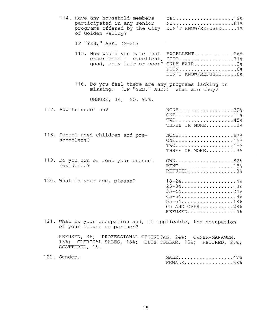| 114. Have any household members<br>participated in any senior<br>programs offered by the City<br>of Golden Valley?                      | YES19%<br>NO81%<br>DON'T KNOW/REFUSED1%                                                                                             |
|-----------------------------------------------------------------------------------------------------------------------------------------|-------------------------------------------------------------------------------------------------------------------------------------|
| IF "YES," ASK: $(N=35)$                                                                                                                 |                                                                                                                                     |
| 115. How would you rate that                                                                                                            | EXCELLENT26%<br>experience -- excellent, GOOD71%<br>good, only fair or poor? ONLY FAIR3%<br>POOR0%<br>DON'T KNOW/REFUSED0%          |
| 116. Do you feel there are any programs lacking or<br>missing? (IF "YES," ASK:) What are they?                                          |                                                                                                                                     |
| UNSURE, 3%; NO, 97%.                                                                                                                    |                                                                                                                                     |
| 117. Adults under 55?                                                                                                                   | NONE39%<br>$ONE$ 11%<br>$TWO$ 48%<br>THREE OR MORE3%                                                                                |
| 118. School-aged children and pre-<br>schoolers?                                                                                        | $\text{NONE} \ldots \ldots \ldots \ldots \ldots \ldots 67\%$<br>$ONE$ 15%<br>$TWO$ 15%<br>THREE OR MORE3%                           |
| 119. Do you own or rent your present<br>residence?                                                                                      | OWN82%<br>RENT18%<br>REFUSED0%                                                                                                      |
| 120. What is your age, please?                                                                                                          | $18 - 24$ 4%<br>$25 - 34 - \dots + \dots + \dots + 10$<br>$35 - 44$ 24%<br>$45 - 54$ 18%<br>55-6418%<br>65 AND OVER28%<br>REFUSED0% |
| 121. What is your occupation and, if applicable, the occupation<br>of your spouse or partner?                                           |                                                                                                                                     |
| REFUSED, 3%; PROFESSIONAL-TECHNICAL, 24%; OWNER-MANAGER,<br>13%; CLERICAL-SALES, 18%; BLUE COLLAR, 15%; RETIRED, 27%;<br>SCATTERED, 1%. |                                                                                                                                     |

| 1つつ | د : | MA<br>$A$ LL4/ $\delta$  |  |  |
|-----|-----|--------------------------|--|--|
|     |     | ∶lVI<br>. <b>.</b> . 533 |  |  |